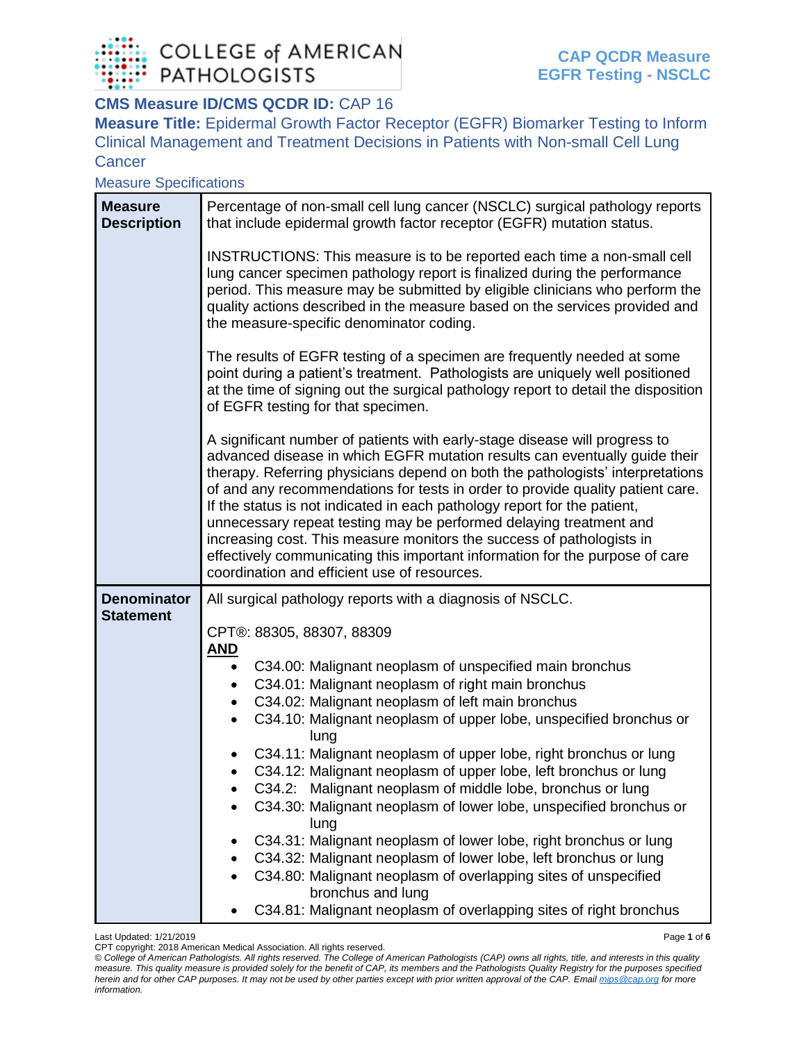

## **CMS Measure ID/CMS QCDR ID: CAP 16**

**Measure Title:** Epidermal Growth Factor Receptor (EGFR) Biomarker Testing to Inform Clinical Management and Treatment Decisions in Patients with Non-small Cell Lung **Cancer** 

Measure Specifications

| <b>Measure</b><br><b>Description</b>   | Percentage of non-small cell lung cancer (NSCLC) surgical pathology reports<br>that include epidermal growth factor receptor (EGFR) mutation status.                                                                                                                                                                                                                                                                                                                                                                                                                                                                                                                                                                                                                                                                                                                       |  |  |  |  |  |
|----------------------------------------|----------------------------------------------------------------------------------------------------------------------------------------------------------------------------------------------------------------------------------------------------------------------------------------------------------------------------------------------------------------------------------------------------------------------------------------------------------------------------------------------------------------------------------------------------------------------------------------------------------------------------------------------------------------------------------------------------------------------------------------------------------------------------------------------------------------------------------------------------------------------------|--|--|--|--|--|
|                                        | INSTRUCTIONS: This measure is to be reported each time a non-small cell<br>lung cancer specimen pathology report is finalized during the performance<br>period. This measure may be submitted by eligible clinicians who perform the<br>quality actions described in the measure based on the services provided and<br>the measure-specific denominator coding.                                                                                                                                                                                                                                                                                                                                                                                                                                                                                                            |  |  |  |  |  |
|                                        | The results of EGFR testing of a specimen are frequently needed at some<br>point during a patient's treatment. Pathologists are uniquely well positioned<br>at the time of signing out the surgical pathology report to detail the disposition<br>of EGFR testing for that specimen.                                                                                                                                                                                                                                                                                                                                                                                                                                                                                                                                                                                       |  |  |  |  |  |
|                                        | A significant number of patients with early-stage disease will progress to<br>advanced disease in which EGFR mutation results can eventually guide their<br>therapy. Referring physicians depend on both the pathologists' interpretations<br>of and any recommendations for tests in order to provide quality patient care.<br>If the status is not indicated in each pathology report for the patient,<br>unnecessary repeat testing may be performed delaying treatment and<br>increasing cost. This measure monitors the success of pathologists in<br>effectively communicating this important information for the purpose of care<br>coordination and efficient use of resources.                                                                                                                                                                                    |  |  |  |  |  |
| <b>Denominator</b><br><b>Statement</b> | All surgical pathology reports with a diagnosis of NSCLC.<br>CPT®: 88305, 88307, 88309<br><u>AND</u><br>C34.00: Malignant neoplasm of unspecified main bronchus<br>$\bullet$<br>C34.01: Malignant neoplasm of right main bronchus<br>C34.02: Malignant neoplasm of left main bronchus<br>C34.10: Malignant neoplasm of upper lobe, unspecified bronchus or<br>$\bullet$<br>lung<br>C34.11: Malignant neoplasm of upper lobe, right bronchus or lung<br>C34.12: Malignant neoplasm of upper lobe, left bronchus or lung<br>C34.2: Malignant neoplasm of middle lobe, bronchus or lung<br>C34.30: Malignant neoplasm of lower lobe, unspecified bronchus or<br>lung<br>C34.31: Malignant neoplasm of lower lobe, right bronchus or lung<br>C34.32: Malignant neoplasm of lower lobe, left bronchus or lung<br>C34.80: Malignant neoplasm of overlapping sites of unspecified |  |  |  |  |  |
|                                        | bronchus and lung<br>C34.81: Malignant neoplasm of overlapping sites of right bronchus                                                                                                                                                                                                                                                                                                                                                                                                                                                                                                                                                                                                                                                                                                                                                                                     |  |  |  |  |  |

Last Updated: 1/21/2019 Page **1** of **6**

*<sup>©</sup> College of American Pathologists. All rights reserved. The College of American Pathologists (CAP) owns all rights, title, and interests in this quality measure. This quality measure is provided solely for the benefit of CAP, its members and the Pathologists Quality Registry for the purposes specified herein and for other CAP purposes. It may not be used by other parties except with prior written approval of the CAP. Emai[l mips@cap.org](mailto:mips@cap.org) for more information.*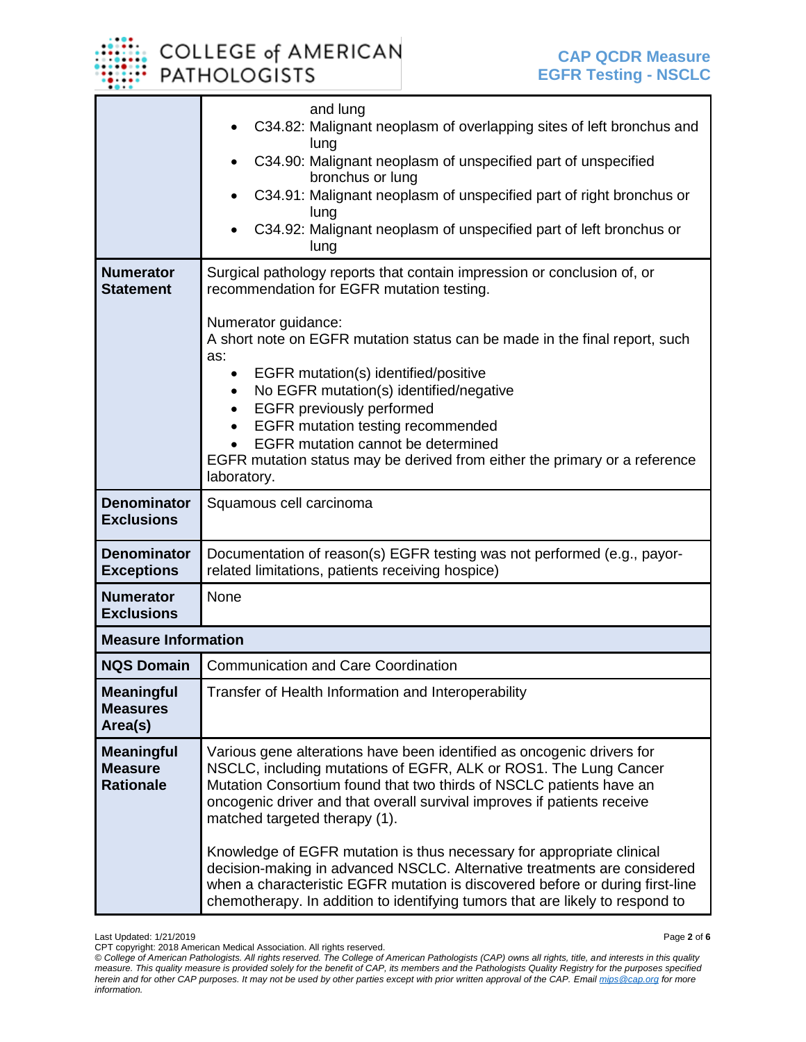## **COLLEGE of AMERICAN PATHOLOGISTS**

|                                                         | and lung                                                                                                                                                                                                                                                                                                                      |  |  |  |  |
|---------------------------------------------------------|-------------------------------------------------------------------------------------------------------------------------------------------------------------------------------------------------------------------------------------------------------------------------------------------------------------------------------|--|--|--|--|
|                                                         | C34.82: Malignant neoplasm of overlapping sites of left bronchus and<br>lung                                                                                                                                                                                                                                                  |  |  |  |  |
|                                                         | C34.90: Malignant neoplasm of unspecified part of unspecified<br>bronchus or lung                                                                                                                                                                                                                                             |  |  |  |  |
|                                                         | C34.91: Malignant neoplasm of unspecified part of right bronchus or                                                                                                                                                                                                                                                           |  |  |  |  |
|                                                         | lung<br>C34.92: Malignant neoplasm of unspecified part of left bronchus or                                                                                                                                                                                                                                                    |  |  |  |  |
|                                                         | lung                                                                                                                                                                                                                                                                                                                          |  |  |  |  |
| <b>Numerator</b><br><b>Statement</b>                    | Surgical pathology reports that contain impression or conclusion of, or<br>recommendation for EGFR mutation testing.                                                                                                                                                                                                          |  |  |  |  |
|                                                         | Numerator guidance:<br>A short note on EGFR mutation status can be made in the final report, such<br>as:                                                                                                                                                                                                                      |  |  |  |  |
|                                                         | EGFR mutation(s) identified/positive<br>$\bullet$                                                                                                                                                                                                                                                                             |  |  |  |  |
|                                                         | No EGFR mutation(s) identified/negative<br><b>EGFR</b> previously performed                                                                                                                                                                                                                                                   |  |  |  |  |
|                                                         | <b>EGFR</b> mutation testing recommended                                                                                                                                                                                                                                                                                      |  |  |  |  |
|                                                         | <b>EGFR</b> mutation cannot be determined<br>EGFR mutation status may be derived from either the primary or a reference                                                                                                                                                                                                       |  |  |  |  |
|                                                         | laboratory.                                                                                                                                                                                                                                                                                                                   |  |  |  |  |
| <b>Denominator</b><br><b>Exclusions</b>                 | Squamous cell carcinoma                                                                                                                                                                                                                                                                                                       |  |  |  |  |
| <b>Denominator</b><br><b>Exceptions</b>                 | Documentation of reason(s) EGFR testing was not performed (e.g., payor-<br>related limitations, patients receiving hospice)                                                                                                                                                                                                   |  |  |  |  |
| <b>Numerator</b><br><b>Exclusions</b>                   | None                                                                                                                                                                                                                                                                                                                          |  |  |  |  |
| <b>Measure Information</b>                              |                                                                                                                                                                                                                                                                                                                               |  |  |  |  |
| <b>NQS Domain</b>                                       | <b>Communication and Care Coordination</b>                                                                                                                                                                                                                                                                                    |  |  |  |  |
| <b>Meaningful</b><br><b>Measures</b><br>Area(s)         | Transfer of Health Information and Interoperability                                                                                                                                                                                                                                                                           |  |  |  |  |
| <b>Meaningful</b><br><b>Measure</b><br><b>Rationale</b> | Various gene alterations have been identified as oncogenic drivers for<br>NSCLC, including mutations of EGFR, ALK or ROS1. The Lung Cancer<br>Mutation Consortium found that two thirds of NSCLC patients have an<br>oncogenic driver and that overall survival improves if patients receive<br>matched targeted therapy (1). |  |  |  |  |
|                                                         | Knowledge of EGFR mutation is thus necessary for appropriate clinical<br>decision-making in advanced NSCLC. Alternative treatments are considered<br>when a characteristic EGFR mutation is discovered before or during first-line<br>chemotherapy. In addition to identifying tumors that are likely to respond to           |  |  |  |  |

CPT copyright: 2018 American Medical Association. All rights reserved.

*<sup>©</sup> College of American Pathologists. All rights reserved. The College of American Pathologists (CAP) owns all rights, title, and interests in this quality measure. This quality measure is provided solely for the benefit of CAP, its members and the Pathologists Quality Registry for the purposes specified herein and for other CAP purposes. It may not be used by other parties except with prior written approval of the CAP. Emai[l mips@cap.org](mailto:mips@cap.org) for more information.*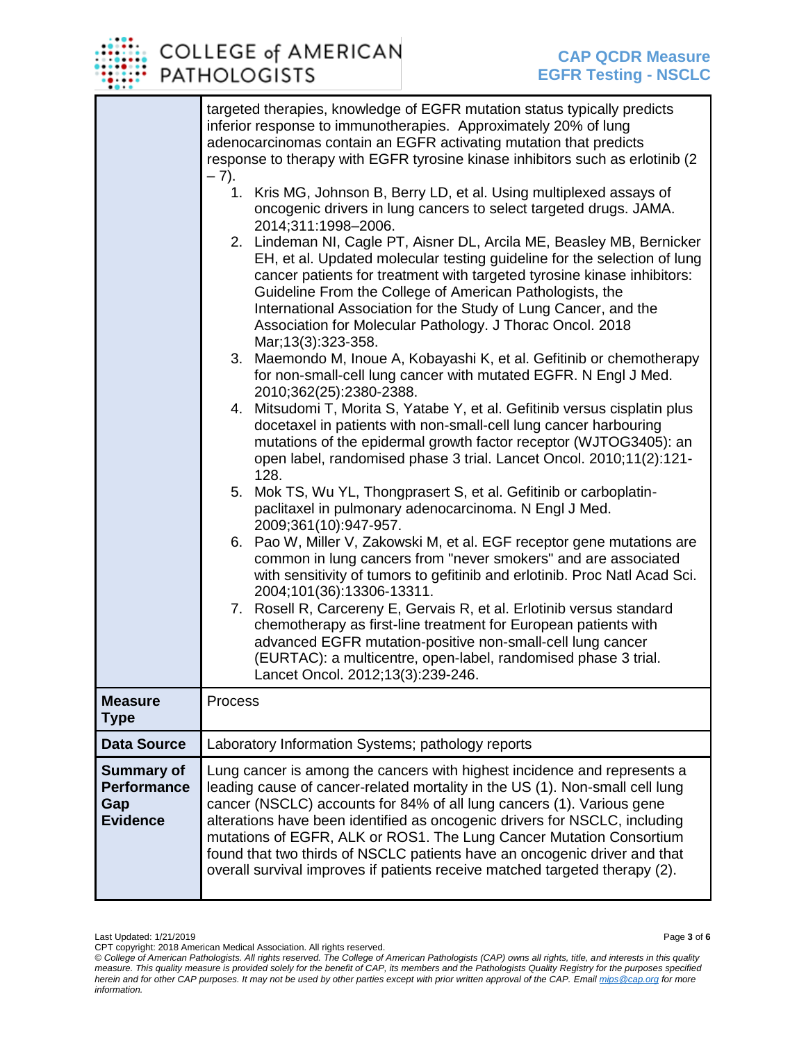

|                                                                   | targeted therapies, knowledge of EGFR mutation status typically predicts<br>inferior response to immunotherapies. Approximately 20% of lung<br>adenocarcinomas contain an EGFR activating mutation that predicts<br>response to therapy with EGFR tyrosine kinase inhibitors such as erlotinib (2)<br>$-7).$<br>1. Kris MG, Johnson B, Berry LD, et al. Using multiplexed assays of<br>oncogenic drivers in lung cancers to select targeted drugs. JAMA.<br>2014;311:1998-2006.<br>2. Lindeman NI, Cagle PT, Aisner DL, Arcila ME, Beasley MB, Bernicker<br>EH, et al. Updated molecular testing guideline for the selection of lung<br>cancer patients for treatment with targeted tyrosine kinase inhibitors:<br>Guideline From the College of American Pathologists, the<br>International Association for the Study of Lung Cancer, and the<br>Association for Molecular Pathology. J Thorac Oncol. 2018<br>Mar; 13(3): 323-358.<br>Maemondo M, Inoue A, Kobayashi K, et al. Gefitinib or chemotherapy<br>3.<br>for non-small-cell lung cancer with mutated EGFR. N Engl J Med.<br>2010;362(25):2380-2388.<br>4. Mitsudomi T, Morita S, Yatabe Y, et al. Gefitinib versus cisplatin plus<br>docetaxel in patients with non-small-cell lung cancer harbouring<br>mutations of the epidermal growth factor receptor (WJTOG3405): an<br>open label, randomised phase 3 trial. Lancet Oncol. 2010;11(2):121-<br>128.<br>5. Mok TS, Wu YL, Thongprasert S, et al. Gefitinib or carboplatin-<br>paclitaxel in pulmonary adenocarcinoma. N Engl J Med.<br>2009;361(10):947-957.<br>6. Pao W, Miller V, Zakowski M, et al. EGF receptor gene mutations are<br>common in lung cancers from "never smokers" and are associated<br>with sensitivity of tumors to gefitinib and erlotinib. Proc Natl Acad Sci.<br>2004;101(36):13306-13311.<br>7. Rosell R, Carcereny E, Gervais R, et al. Erlotinib versus standard<br>chemotherapy as first-line treatment for European patients with<br>advanced EGFR mutation-positive non-small-cell lung cancer<br>(EURTAC): a multicentre, open-label, randomised phase 3 trial.<br>Lancet Oncol. 2012;13(3):239-246. |
|-------------------------------------------------------------------|-----------------------------------------------------------------------------------------------------------------------------------------------------------------------------------------------------------------------------------------------------------------------------------------------------------------------------------------------------------------------------------------------------------------------------------------------------------------------------------------------------------------------------------------------------------------------------------------------------------------------------------------------------------------------------------------------------------------------------------------------------------------------------------------------------------------------------------------------------------------------------------------------------------------------------------------------------------------------------------------------------------------------------------------------------------------------------------------------------------------------------------------------------------------------------------------------------------------------------------------------------------------------------------------------------------------------------------------------------------------------------------------------------------------------------------------------------------------------------------------------------------------------------------------------------------------------------------------------------------------------------------------------------------------------------------------------------------------------------------------------------------------------------------------------------------------------------------------------------------------------------------------------------------------------------------------------------------------------------------------------------------------------------------------------------------------------------------------------------------------------------------------------------|
| <b>Measure</b><br><b>Type</b>                                     | Process                                                                                                                                                                                                                                                                                                                                                                                                                                                                                                                                                                                                                                                                                                                                                                                                                                                                                                                                                                                                                                                                                                                                                                                                                                                                                                                                                                                                                                                                                                                                                                                                                                                                                                                                                                                                                                                                                                                                                                                                                                                                                                                                             |
| Data Source                                                       | Laboratory Information Systems; pathology reports                                                                                                                                                                                                                                                                                                                                                                                                                                                                                                                                                                                                                                                                                                                                                                                                                                                                                                                                                                                                                                                                                                                                                                                                                                                                                                                                                                                                                                                                                                                                                                                                                                                                                                                                                                                                                                                                                                                                                                                                                                                                                                   |
| <b>Summary of</b><br><b>Performance</b><br>Gap<br><b>Evidence</b> | Lung cancer is among the cancers with highest incidence and represents a<br>leading cause of cancer-related mortality in the US (1). Non-small cell lung<br>cancer (NSCLC) accounts for 84% of all lung cancers (1). Various gene<br>alterations have been identified as oncogenic drivers for NSCLC, including<br>mutations of EGFR, ALK or ROS1. The Lung Cancer Mutation Consortium<br>found that two thirds of NSCLC patients have an oncogenic driver and that<br>overall survival improves if patients receive matched targeted therapy (2).                                                                                                                                                                                                                                                                                                                                                                                                                                                                                                                                                                                                                                                                                                                                                                                                                                                                                                                                                                                                                                                                                                                                                                                                                                                                                                                                                                                                                                                                                                                                                                                                  |

CPT copyright: 2018 American Medical Association. All rights reserved. *© College of American Pathologists. All rights reserved. The College of American Pathologists (CAP) owns all rights, title, and interests in this quality measure. This quality measure is provided solely for the benefit of CAP, its members and the Pathologists Quality Registry for the purposes specified herein and for other CAP purposes. It may not be used by other parties except with prior written approval of the CAP. Emai[l mips@cap.org](mailto:mips@cap.org) for more information.*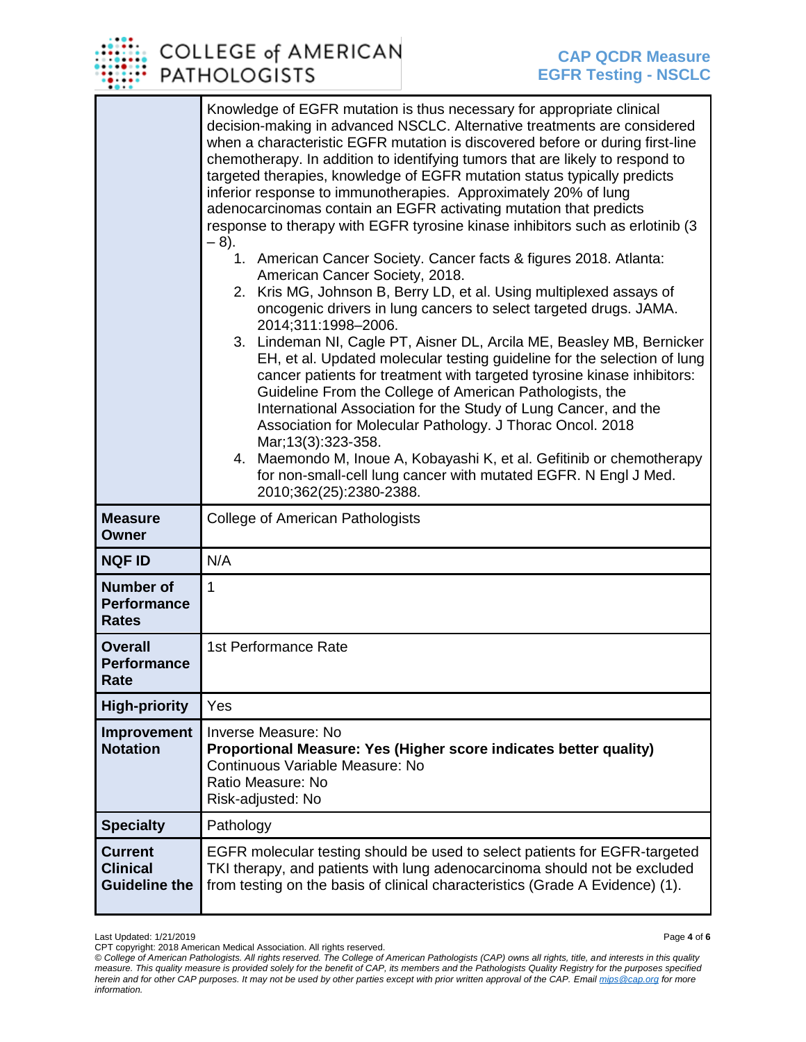

|                                                           | Knowledge of EGFR mutation is thus necessary for appropriate clinical<br>decision-making in advanced NSCLC. Alternative treatments are considered<br>when a characteristic EGFR mutation is discovered before or during first-line<br>chemotherapy. In addition to identifying tumors that are likely to respond to<br>targeted therapies, knowledge of EGFR mutation status typically predicts<br>inferior response to immunotherapies. Approximately 20% of lung<br>adenocarcinomas contain an EGFR activating mutation that predicts<br>response to therapy with EGFR tyrosine kinase inhibitors such as erlotinib (3)<br>$-8$ ).<br>1. American Cancer Society. Cancer facts & figures 2018. Atlanta:<br>American Cancer Society, 2018.<br>2. Kris MG, Johnson B, Berry LD, et al. Using multiplexed assays of<br>oncogenic drivers in lung cancers to select targeted drugs. JAMA.<br>2014;311:1998-2006.<br>3. Lindeman NI, Cagle PT, Aisner DL, Arcila ME, Beasley MB, Bernicker<br>EH, et al. Updated molecular testing guideline for the selection of lung<br>cancer patients for treatment with targeted tyrosine kinase inhibitors:<br>Guideline From the College of American Pathologists, the<br>International Association for the Study of Lung Cancer, and the<br>Association for Molecular Pathology. J Thorac Oncol. 2018<br>Mar; 13(3): 323-358.<br>4. Maemondo M, Inoue A, Kobayashi K, et al. Gefitinib or chemotherapy<br>for non-small-cell lung cancer with mutated EGFR. N Engl J Med.<br>2010;362(25):2380-2388. |
|-----------------------------------------------------------|-------------------------------------------------------------------------------------------------------------------------------------------------------------------------------------------------------------------------------------------------------------------------------------------------------------------------------------------------------------------------------------------------------------------------------------------------------------------------------------------------------------------------------------------------------------------------------------------------------------------------------------------------------------------------------------------------------------------------------------------------------------------------------------------------------------------------------------------------------------------------------------------------------------------------------------------------------------------------------------------------------------------------------------------------------------------------------------------------------------------------------------------------------------------------------------------------------------------------------------------------------------------------------------------------------------------------------------------------------------------------------------------------------------------------------------------------------------------------------------------------------------------------------------------|
| <b>Measure</b><br>Owner                                   | <b>College of American Pathologists</b>                                                                                                                                                                                                                                                                                                                                                                                                                                                                                                                                                                                                                                                                                                                                                                                                                                                                                                                                                                                                                                                                                                                                                                                                                                                                                                                                                                                                                                                                                                   |
| <b>NQF ID</b>                                             | N/A                                                                                                                                                                                                                                                                                                                                                                                                                                                                                                                                                                                                                                                                                                                                                                                                                                                                                                                                                                                                                                                                                                                                                                                                                                                                                                                                                                                                                                                                                                                                       |
| <b>Number of</b><br><b>Performance</b><br><b>Rates</b>    | 1                                                                                                                                                                                                                                                                                                                                                                                                                                                                                                                                                                                                                                                                                                                                                                                                                                                                                                                                                                                                                                                                                                                                                                                                                                                                                                                                                                                                                                                                                                                                         |
| <b>Overall</b><br><b>Performance</b><br>Rate              | 1st Performance Rate                                                                                                                                                                                                                                                                                                                                                                                                                                                                                                                                                                                                                                                                                                                                                                                                                                                                                                                                                                                                                                                                                                                                                                                                                                                                                                                                                                                                                                                                                                                      |
| <b>High-priority</b>                                      | Yes                                                                                                                                                                                                                                                                                                                                                                                                                                                                                                                                                                                                                                                                                                                                                                                                                                                                                                                                                                                                                                                                                                                                                                                                                                                                                                                                                                                                                                                                                                                                       |
| Improvement<br><b>Notation</b>                            | Inverse Measure: No<br>Proportional Measure: Yes (Higher score indicates better quality)<br>Continuous Variable Measure: No<br>Ratio Measure: No<br>Risk-adjusted: No                                                                                                                                                                                                                                                                                                                                                                                                                                                                                                                                                                                                                                                                                                                                                                                                                                                                                                                                                                                                                                                                                                                                                                                                                                                                                                                                                                     |
| <b>Specialty</b>                                          | Pathology                                                                                                                                                                                                                                                                                                                                                                                                                                                                                                                                                                                                                                                                                                                                                                                                                                                                                                                                                                                                                                                                                                                                                                                                                                                                                                                                                                                                                                                                                                                                 |
| <b>Current</b><br><b>Clinical</b><br><b>Guideline the</b> | EGFR molecular testing should be used to select patients for EGFR-targeted<br>TKI therapy, and patients with lung adenocarcinoma should not be excluded<br>from testing on the basis of clinical characteristics (Grade A Evidence) (1).                                                                                                                                                                                                                                                                                                                                                                                                                                                                                                                                                                                                                                                                                                                                                                                                                                                                                                                                                                                                                                                                                                                                                                                                                                                                                                  |

Last Updated: 1/21/2019 Page **4** of **6**

CPT copyright: 2018 American Medical Association. All rights reserved.

*<sup>©</sup> College of American Pathologists. All rights reserved. The College of American Pathologists (CAP) owns all rights, title, and interests in this quality measure. This quality measure is provided solely for the benefit of CAP, its members and the Pathologists Quality Registry for the purposes specified herein and for other CAP purposes. It may not be used by other parties except with prior written approval of the CAP. Emai[l mips@cap.org](mailto:mips@cap.org) for more information.*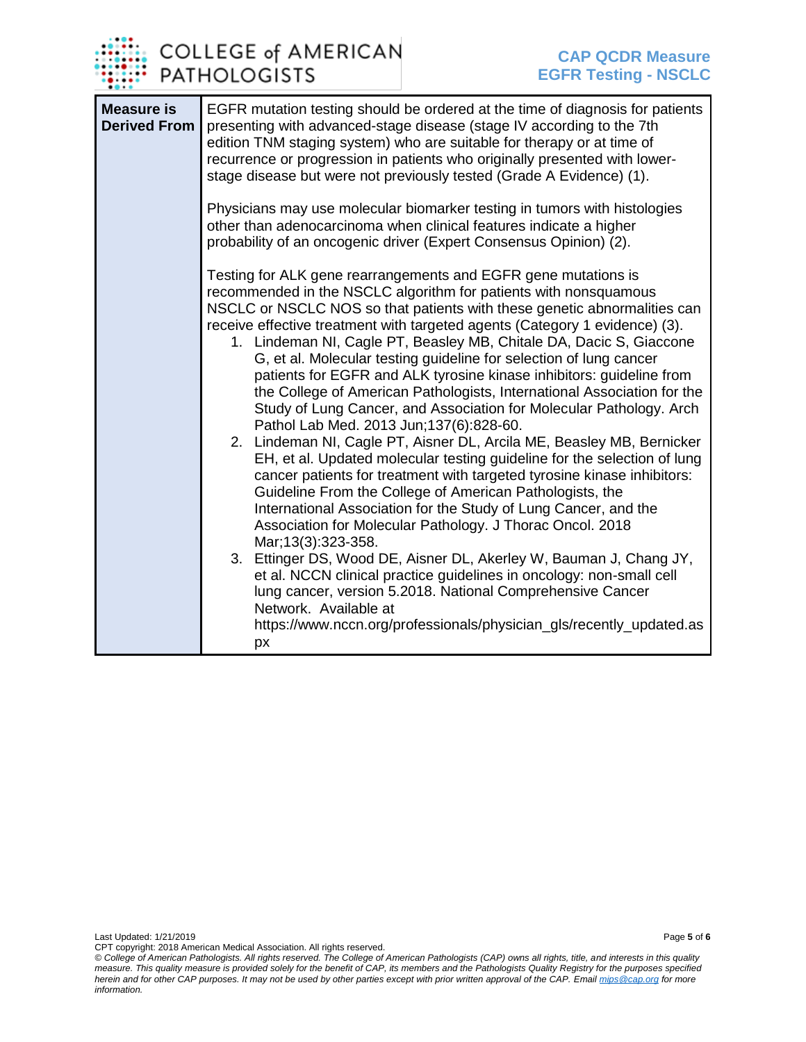

| <b>Measure is</b><br><b>Derived From</b> | EGFR mutation testing should be ordered at the time of diagnosis for patients<br>presenting with advanced-stage disease (stage IV according to the 7th<br>edition TNM staging system) who are suitable for therapy or at time of<br>recurrence or progression in patients who originally presented with lower-<br>stage disease but were not previously tested (Grade A Evidence) (1).                                                                                                                                                                                                                                                                                                                                                                                                                                                                                                                                                                                                                                                                                                                                                                                                                                                                                                                                                                                                                                                                                                   |
|------------------------------------------|------------------------------------------------------------------------------------------------------------------------------------------------------------------------------------------------------------------------------------------------------------------------------------------------------------------------------------------------------------------------------------------------------------------------------------------------------------------------------------------------------------------------------------------------------------------------------------------------------------------------------------------------------------------------------------------------------------------------------------------------------------------------------------------------------------------------------------------------------------------------------------------------------------------------------------------------------------------------------------------------------------------------------------------------------------------------------------------------------------------------------------------------------------------------------------------------------------------------------------------------------------------------------------------------------------------------------------------------------------------------------------------------------------------------------------------------------------------------------------------|
|                                          | Physicians may use molecular biomarker testing in tumors with histologies<br>other than adenocarcinoma when clinical features indicate a higher<br>probability of an oncogenic driver (Expert Consensus Opinion) (2).                                                                                                                                                                                                                                                                                                                                                                                                                                                                                                                                                                                                                                                                                                                                                                                                                                                                                                                                                                                                                                                                                                                                                                                                                                                                    |
|                                          | Testing for ALK gene rearrangements and EGFR gene mutations is<br>recommended in the NSCLC algorithm for patients with nonsquamous<br>NSCLC or NSCLC NOS so that patients with these genetic abnormalities can<br>receive effective treatment with targeted agents (Category 1 evidence) (3).<br>1. Lindeman NI, Cagle PT, Beasley MB, Chitale DA, Dacic S, Giaccone<br>G, et al. Molecular testing guideline for selection of lung cancer<br>patients for EGFR and ALK tyrosine kinase inhibitors: guideline from<br>the College of American Pathologists, International Association for the<br>Study of Lung Cancer, and Association for Molecular Pathology. Arch<br>Pathol Lab Med. 2013 Jun; 137(6): 828-60.<br>2. Lindeman NI, Cagle PT, Aisner DL, Arcila ME, Beasley MB, Bernicker<br>EH, et al. Updated molecular testing guideline for the selection of lung<br>cancer patients for treatment with targeted tyrosine kinase inhibitors:<br>Guideline From the College of American Pathologists, the<br>International Association for the Study of Lung Cancer, and the<br>Association for Molecular Pathology. J Thorac Oncol. 2018<br>Mar; 13(3): 323-358.<br>3. Ettinger DS, Wood DE, Aisner DL, Akerley W, Bauman J, Chang JY,<br>et al. NCCN clinical practice guidelines in oncology: non-small cell<br>lung cancer, version 5.2018. National Comprehensive Cancer<br>Network. Available at<br>https://www.nccn.org/professionals/physician_gls/recently_updated.as<br>px |

Last Updated: 1/21/2019 Page **5** of **6**

CPT copyright: 2018 American Medical Association. All rights reserved. *© College of American Pathologists. All rights reserved. The College of American Pathologists (CAP) owns all rights, title, and interests in this quality measure. This quality measure is provided solely for the benefit of CAP, its members and the Pathologists Quality Registry for the purposes specified herein and for other CAP purposes. It may not be used by other parties except with prior written approval of the CAP. Emai[l mips@cap.org](mailto:mips@cap.org) for more information.*